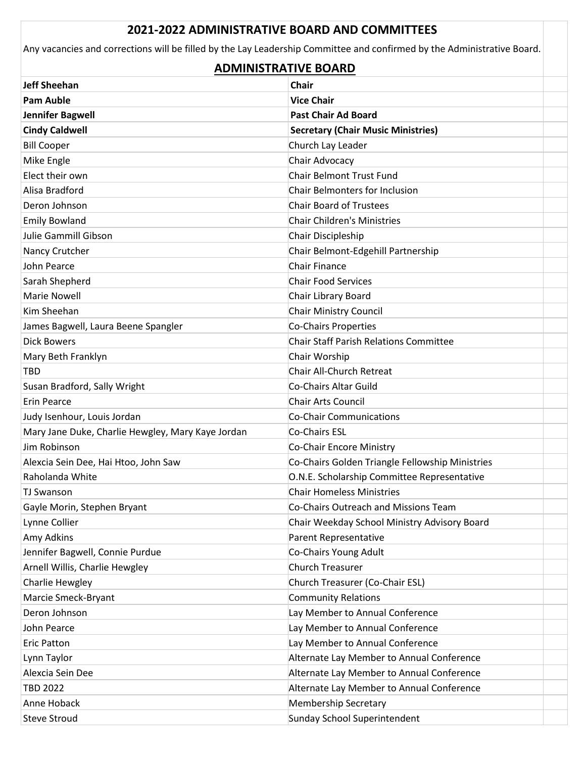## **2021-2022 ADMINISTRATIVE BOARD AND COMMITTEES**

Any vacancies and corrections will be filled by the Lay Leadership Committee and confirmed by the Administrative Board.

## **ADMINISTRATIVE BOARD**

| <b>Jeff Sheehan</b>                               | <b>Chair</b>                                    |
|---------------------------------------------------|-------------------------------------------------|
| <b>Pam Auble</b>                                  | <b>Vice Chair</b>                               |
| Jennifer Bagwell                                  | <b>Past Chair Ad Board</b>                      |
| <b>Cindy Caldwell</b>                             | <b>Secretary (Chair Music Ministries)</b>       |
| <b>Bill Cooper</b>                                | Church Lay Leader                               |
| Mike Engle                                        | Chair Advocacy                                  |
| Elect their own                                   | Chair Belmont Trust Fund                        |
| Alisa Bradford                                    | Chair Belmonters for Inclusion                  |
| Deron Johnson                                     | <b>Chair Board of Trustees</b>                  |
| <b>Emily Bowland</b>                              | Chair Children's Ministries                     |
| Julie Gammill Gibson                              | Chair Discipleship                              |
| Nancy Crutcher                                    | Chair Belmont-Edgehill Partnership              |
| <b>John Pearce</b>                                | <b>Chair Finance</b>                            |
| Sarah Shepherd                                    | <b>Chair Food Services</b>                      |
| <b>Marie Nowell</b>                               | Chair Library Board                             |
| Kim Sheehan                                       | <b>Chair Ministry Council</b>                   |
| James Bagwell, Laura Beene Spangler               | <b>Co-Chairs Properties</b>                     |
| <b>Dick Bowers</b>                                | Chair Staff Parish Relations Committee          |
| Mary Beth Franklyn                                | Chair Worship                                   |
| <b>TBD</b>                                        | Chair All-Church Retreat                        |
| Susan Bradford, Sally Wright                      | Co-Chairs Altar Guild                           |
| <b>Erin Pearce</b>                                | <b>Chair Arts Council</b>                       |
| Judy Isenhour, Louis Jordan                       | Co-Chair Communications                         |
| Mary Jane Duke, Charlie Hewgley, Mary Kaye Jordan | Co-Chairs ESL                                   |
| Jim Robinson                                      | Co-Chair Encore Ministry                        |
| Alexcia Sein Dee, Hai Htoo, John Saw              | Co-Chairs Golden Triangle Fellowship Ministries |
| Raholanda White                                   | O.N.E. Scholarship Committee Representative     |
| <b>TJ Swanson</b>                                 | <b>Chair Homeless Ministries</b>                |
| Gayle Morin, Stephen Bryant                       | Co-Chairs Outreach and Missions Team            |
| Lynne Collier                                     | Chair Weekday School Ministry Advisory Board    |
| Amy Adkins                                        | Parent Representative                           |
| Jennifer Bagwell, Connie Purdue                   | Co-Chairs Young Adult                           |
| Arnell Willis, Charlie Hewgley                    | <b>Church Treasurer</b>                         |
| Charlie Hewgley                                   | Church Treasurer (Co-Chair ESL)                 |
| Marcie Smeck-Bryant                               | <b>Community Relations</b>                      |
| Deron Johnson                                     | Lay Member to Annual Conference                 |
| John Pearce                                       | Lay Member to Annual Conference                 |
| <b>Eric Patton</b>                                | Lay Member to Annual Conference                 |
| Lynn Taylor                                       | Alternate Lay Member to Annual Conference       |
| Alexcia Sein Dee                                  | Alternate Lay Member to Annual Conference       |
| <b>TBD 2022</b>                                   | Alternate Lay Member to Annual Conference       |
| Anne Hoback                                       | Membership Secretary                            |
| <b>Steve Stroud</b>                               | Sunday School Superintendent                    |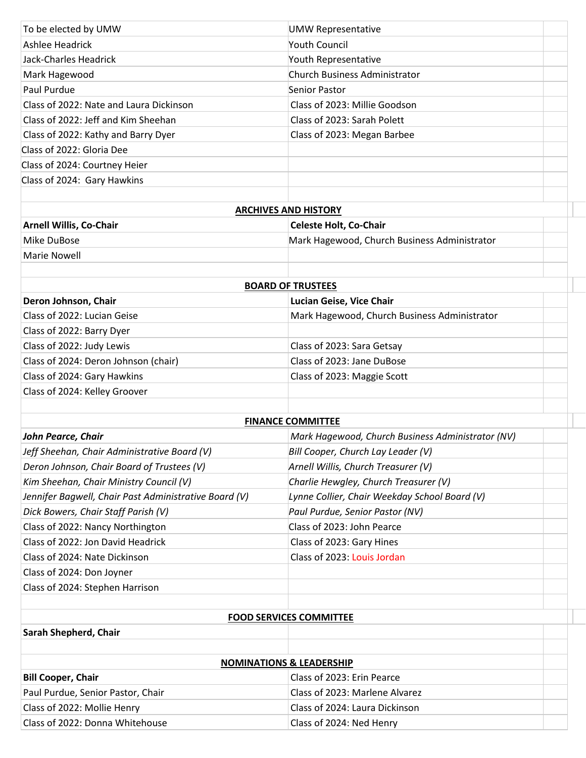| To be elected by UMW                                  | <b>UMW Representative</b>                         |  |
|-------------------------------------------------------|---------------------------------------------------|--|
| Ashlee Headrick                                       | <b>Youth Council</b>                              |  |
| Jack-Charles Headrick                                 | Youth Representative                              |  |
| Mark Hagewood                                         | Church Business Administrator                     |  |
| Paul Purdue                                           | Senior Pastor                                     |  |
| Class of 2022: Nate and Laura Dickinson               | Class of 2023: Millie Goodson                     |  |
| Class of 2022: Jeff and Kim Sheehan                   | Class of 2023: Sarah Polett                       |  |
| Class of 2022: Kathy and Barry Dyer                   | Class of 2023: Megan Barbee                       |  |
| Class of 2022: Gloria Dee                             |                                                   |  |
| Class of 2024: Courtney Heier                         |                                                   |  |
| Class of 2024: Gary Hawkins                           |                                                   |  |
|                                                       |                                                   |  |
|                                                       | <b>ARCHIVES AND HISTORY</b>                       |  |
| <b>Arnell Willis, Co-Chair</b>                        | <b>Celeste Holt, Co-Chair</b>                     |  |
| Mike DuBose                                           | Mark Hagewood, Church Business Administrator      |  |
| <b>Marie Nowell</b>                                   |                                                   |  |
|                                                       | <b>BOARD OF TRUSTEES</b>                          |  |
| Deron Johnson, Chair                                  | Lucian Geise, Vice Chair                          |  |
| Class of 2022: Lucian Geise                           | Mark Hagewood, Church Business Administrator      |  |
| Class of 2022: Barry Dyer                             |                                                   |  |
| Class of 2022: Judy Lewis                             | Class of 2023: Sara Getsay                        |  |
| Class of 2024: Deron Johnson (chair)                  | Class of 2023: Jane DuBose                        |  |
| Class of 2024: Gary Hawkins                           | Class of 2023: Maggie Scott                       |  |
| Class of 2024: Kelley Groover                         |                                                   |  |
|                                                       |                                                   |  |
|                                                       | <b>FINANCE COMMITTEE</b>                          |  |
| John Pearce, Chair                                    | Mark Hagewood, Church Business Administrator (NV) |  |
| Jeff Sheehan, Chair Administrative Board (V)          | Bill Cooper, Church Lay Leader (V)                |  |
| Deron Johnson, Chair Board of Trustees (V)            | Arnell Willis, Church Treasurer (V)               |  |
| Kim Sheehan, Chair Ministry Council (V)               | Charlie Hewgley, Church Treasurer (V)             |  |
| Jennifer Bagwell, Chair Past Administrative Board (V) | Lynne Collier, Chair Weekday School Board (V)     |  |
| Dick Bowers, Chair Staff Parish (V)                   | Paul Purdue, Senior Pastor (NV)                   |  |
| Class of 2022: Nancy Northington                      | Class of 2023: John Pearce                        |  |
| Class of 2022: Jon David Headrick                     | Class of 2023: Gary Hines                         |  |
| Class of 2024: Nate Dickinson                         | Class of 2023: Louis Jordan                       |  |
| Class of 2024: Don Joyner                             |                                                   |  |
| Class of 2024: Stephen Harrison                       |                                                   |  |
|                                                       |                                                   |  |
|                                                       | <b>FOOD SERVICES COMMITTEE</b>                    |  |
| Sarah Shepherd, Chair                                 |                                                   |  |
|                                                       | <b>NOMINATIONS &amp; LEADERSHIP</b>               |  |
| <b>Bill Cooper, Chair</b>                             | Class of 2023: Erin Pearce                        |  |
| Paul Purdue, Senior Pastor, Chair                     | Class of 2023: Marlene Alvarez                    |  |
| Class of 2022: Mollie Henry                           | Class of 2024: Laura Dickinson                    |  |
| Class of 2022: Donna Whitehouse                       | Class of 2024: Ned Henry                          |  |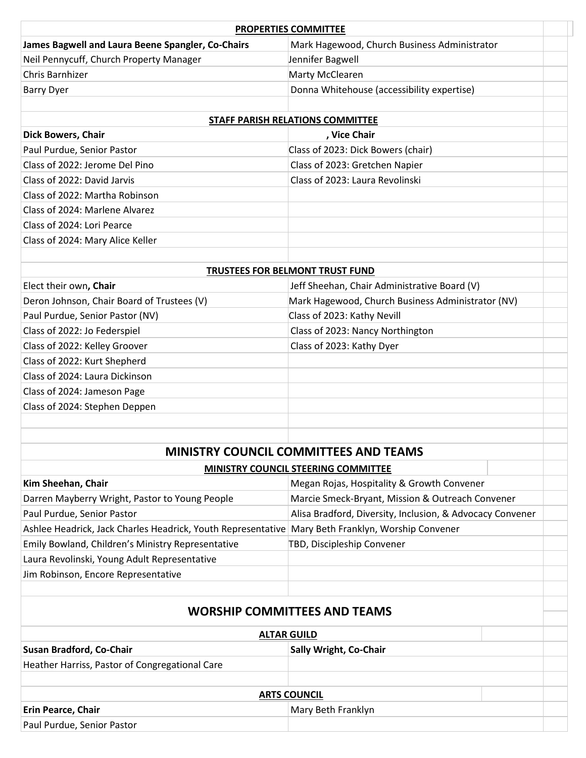| <b>PROPERTIES COMMITTEE</b>                       |                                              |  |
|---------------------------------------------------|----------------------------------------------|--|
| James Bagwell and Laura Beene Spangler, Co-Chairs | Mark Hagewood, Church Business Administrator |  |
| Neil Pennycuff, Church Property Manager           | Jennifer Bagwell                             |  |
| Chris Barnhizer                                   | Marty McClearen                              |  |
| Barry Dyer                                        | Donna Whitehouse (accessibility expertise)   |  |
|                                                   |                                              |  |

| <b>STAFF PARISH RELATIONS COMMITTEE</b> |                                    |  |
|-----------------------------------------|------------------------------------|--|
| <b>Dick Bowers, Chair</b>               | , Vice Chair                       |  |
| Paul Purdue, Senior Pastor              | Class of 2023: Dick Bowers (chair) |  |
| Class of 2022: Jerome Del Pino          | Class of 2023: Gretchen Napier     |  |
| Class of 2022: David Jarvis             | Class of 2023: Laura Revolinski    |  |
| Class of 2022: Martha Robinson          |                                    |  |
| Class of 2024: Marlene Alvarez          |                                    |  |
| Class of 2024: Lori Pearce              |                                    |  |
| Class of 2024: Mary Alice Keller        |                                    |  |
|                                         |                                    |  |

| <b>TRUSTEES FOR BELMONT TRUST FUND</b>     |                                                   |  |
|--------------------------------------------|---------------------------------------------------|--|
| Elect their own, Chair                     | Jeff Sheehan, Chair Administrative Board (V)      |  |
| Deron Johnson, Chair Board of Trustees (V) | Mark Hagewood, Church Business Administrator (NV) |  |
| Paul Purdue, Senior Pastor (NV)            | Class of 2023: Kathy Nevill                       |  |
| Class of 2022: Jo Federspiel               | Class of 2023: Nancy Northington                  |  |
| Class of 2022: Kelley Groover              | Class of 2023: Kathy Dyer                         |  |
| Class of 2022: Kurt Shepherd               |                                                   |  |
| Class of 2024: Laura Dickinson             |                                                   |  |
| Class of 2024: Jameson Page                |                                                   |  |
| Class of 2024: Stephen Deppen              |                                                   |  |
|                                            |                                                   |  |

## **MINISTRY COUNCIL COMMITTEES AND TEAMS**

| <b>MINISTRY COUNCIL STEERING COMMITTEE</b> |  |
|--------------------------------------------|--|
|                                            |  |

| Kim Sheehan, Chair                                                                                | Megan Rojas, Hospitality & Growth Convener                |  |
|---------------------------------------------------------------------------------------------------|-----------------------------------------------------------|--|
| Darren Mayberry Wright, Pastor to Young People                                                    | Marcie Smeck-Bryant, Mission & Outreach Convener          |  |
| Paul Purdue, Senior Pastor                                                                        | Alisa Bradford, Diversity, Inclusion, & Advocacy Convener |  |
| Ashlee Headrick, Jack Charles Headrick, Youth Representative Mary Beth Franklyn, Worship Convener |                                                           |  |
| Emily Bowland, Children's Ministry Representative                                                 | TBD, Discipleship Convener                                |  |
| Laura Revolinski, Young Adult Representative                                                      |                                                           |  |
| Jim Robinson, Encore Representative                                                               |                                                           |  |
|                                                                                                   |                                                           |  |

## **WORSHIP COMMITTEES AND TEAMS**

| <b>ALTAR GUILD</b>                             |                               |  |
|------------------------------------------------|-------------------------------|--|
| Susan Bradford, Co-Chair                       | <b>Sally Wright, Co-Chair</b> |  |
| Heather Harriss, Pastor of Congregational Care |                               |  |
| <b>ARTS COUNCIL</b>                            |                               |  |
| <b>Erin Pearce, Chair</b>                      | Mary Beth Franklyn            |  |
| Paul Purdue, Senior Pastor                     |                               |  |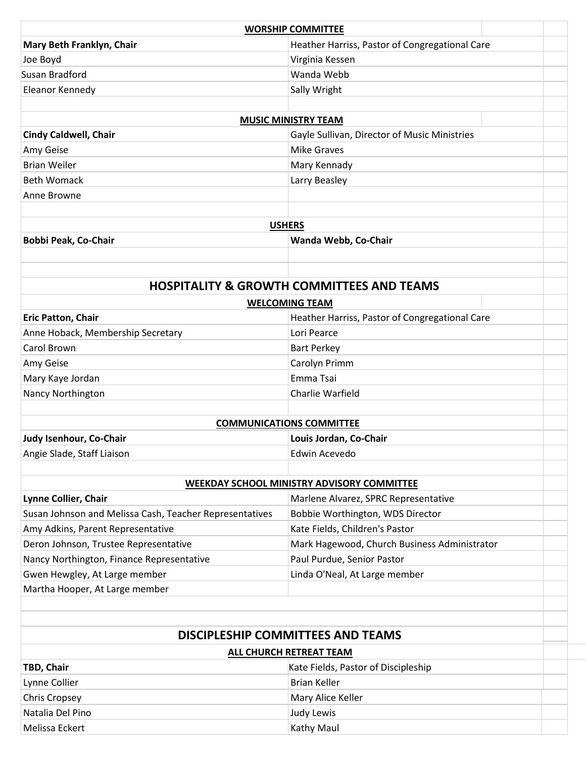| Mary Beth Franklyn, Chair<br>Heather Harriss, Pastor of Congregational Care<br>Joe Boyd<br>Virginia Kessen<br>Wanda Webb<br>Susan Bradford<br>Sally Wright<br>Eleanor Kennedy<br><b>MUSIC MINISTRY TEAM</b><br><b>Cindy Caldwell, Chair</b><br>Gayle Sullivan, Director of Music Ministries<br><b>Mike Graves</b><br>Amy Geise<br><b>Brian Weiler</b><br>Mary Kennady<br><b>Beth Womack</b><br>Larry Beasley<br>Anne Browne<br><b>USHERS</b><br>Bobbi Peak, Co-Chair<br>Wanda Webb, Co-Chair<br><b>HOSPITALITY &amp; GROWTH COMMITTEES AND TEAMS</b><br><b>WELCOMING TEAM</b><br>Eric Patton, Chair<br>Heather Harriss, Pastor of Congregational Care<br>Lori Pearce<br>Anne Hoback, Membership Secretary<br>Carol Brown<br><b>Bart Perkey</b><br>Carolyn Primm<br>Amy Geise<br>Mary Kaye Jordan<br>Emma Tsai<br>Nancy Northington<br>Charlie Warfield<br><b>COMMUNICATIONS COMMITTEE</b><br>Judy Isenhour, Co-Chair<br>Louis Jordan, Co-Chair<br>Angie Slade, Staff Liaison<br>Edwin Acevedo<br><b>WEEKDAY SCHOOL MINISTRY ADVISORY COMMITTEE</b><br>Lynne Collier, Chair<br>Marlene Alvarez, SPRC Representative<br>Susan Johnson and Melissa Cash, Teacher Representatives<br>Bobbie Worthington, WDS Director<br>Amy Adkins, Parent Representative<br>Kate Fields, Children's Pastor<br>Deron Johnson, Trustee Representative<br>Mark Hagewood, Church Business Administrator<br>Paul Purdue, Senior Pastor<br>Nancy Northington, Finance Representative<br>Gwen Hewgley, At Large member<br>Linda O'Neal, At Large member<br>Martha Hooper, At Large member<br><b>DISCIPLESHIP COMMITTEES AND TEAMS</b><br>ALL CHURCH RETREAT TEAM<br>Kate Fields, Pastor of Discipleship<br>TBD, Chair<br><b>Brian Keller</b><br>Lynne Collier<br><b>Chris Cropsey</b><br>Mary Alice Keller<br>Natalia Del Pino<br>Judy Lewis<br>Melissa Eckert<br>Kathy Maul | <b>WORSHIP COMMITTEE</b> |  |
|-----------------------------------------------------------------------------------------------------------------------------------------------------------------------------------------------------------------------------------------------------------------------------------------------------------------------------------------------------------------------------------------------------------------------------------------------------------------------------------------------------------------------------------------------------------------------------------------------------------------------------------------------------------------------------------------------------------------------------------------------------------------------------------------------------------------------------------------------------------------------------------------------------------------------------------------------------------------------------------------------------------------------------------------------------------------------------------------------------------------------------------------------------------------------------------------------------------------------------------------------------------------------------------------------------------------------------------------------------------------------------------------------------------------------------------------------------------------------------------------------------------------------------------------------------------------------------------------------------------------------------------------------------------------------------------------------------------------------------------------------------------------------------------------------------------------------------------------------------|--------------------------|--|
|                                                                                                                                                                                                                                                                                                                                                                                                                                                                                                                                                                                                                                                                                                                                                                                                                                                                                                                                                                                                                                                                                                                                                                                                                                                                                                                                                                                                                                                                                                                                                                                                                                                                                                                                                                                                                                                     |                          |  |
|                                                                                                                                                                                                                                                                                                                                                                                                                                                                                                                                                                                                                                                                                                                                                                                                                                                                                                                                                                                                                                                                                                                                                                                                                                                                                                                                                                                                                                                                                                                                                                                                                                                                                                                                                                                                                                                     |                          |  |
|                                                                                                                                                                                                                                                                                                                                                                                                                                                                                                                                                                                                                                                                                                                                                                                                                                                                                                                                                                                                                                                                                                                                                                                                                                                                                                                                                                                                                                                                                                                                                                                                                                                                                                                                                                                                                                                     |                          |  |
|                                                                                                                                                                                                                                                                                                                                                                                                                                                                                                                                                                                                                                                                                                                                                                                                                                                                                                                                                                                                                                                                                                                                                                                                                                                                                                                                                                                                                                                                                                                                                                                                                                                                                                                                                                                                                                                     |                          |  |
|                                                                                                                                                                                                                                                                                                                                                                                                                                                                                                                                                                                                                                                                                                                                                                                                                                                                                                                                                                                                                                                                                                                                                                                                                                                                                                                                                                                                                                                                                                                                                                                                                                                                                                                                                                                                                                                     |                          |  |
|                                                                                                                                                                                                                                                                                                                                                                                                                                                                                                                                                                                                                                                                                                                                                                                                                                                                                                                                                                                                                                                                                                                                                                                                                                                                                                                                                                                                                                                                                                                                                                                                                                                                                                                                                                                                                                                     |                          |  |
|                                                                                                                                                                                                                                                                                                                                                                                                                                                                                                                                                                                                                                                                                                                                                                                                                                                                                                                                                                                                                                                                                                                                                                                                                                                                                                                                                                                                                                                                                                                                                                                                                                                                                                                                                                                                                                                     |                          |  |
|                                                                                                                                                                                                                                                                                                                                                                                                                                                                                                                                                                                                                                                                                                                                                                                                                                                                                                                                                                                                                                                                                                                                                                                                                                                                                                                                                                                                                                                                                                                                                                                                                                                                                                                                                                                                                                                     |                          |  |
|                                                                                                                                                                                                                                                                                                                                                                                                                                                                                                                                                                                                                                                                                                                                                                                                                                                                                                                                                                                                                                                                                                                                                                                                                                                                                                                                                                                                                                                                                                                                                                                                                                                                                                                                                                                                                                                     |                          |  |
|                                                                                                                                                                                                                                                                                                                                                                                                                                                                                                                                                                                                                                                                                                                                                                                                                                                                                                                                                                                                                                                                                                                                                                                                                                                                                                                                                                                                                                                                                                                                                                                                                                                                                                                                                                                                                                                     |                          |  |
|                                                                                                                                                                                                                                                                                                                                                                                                                                                                                                                                                                                                                                                                                                                                                                                                                                                                                                                                                                                                                                                                                                                                                                                                                                                                                                                                                                                                                                                                                                                                                                                                                                                                                                                                                                                                                                                     |                          |  |
|                                                                                                                                                                                                                                                                                                                                                                                                                                                                                                                                                                                                                                                                                                                                                                                                                                                                                                                                                                                                                                                                                                                                                                                                                                                                                                                                                                                                                                                                                                                                                                                                                                                                                                                                                                                                                                                     |                          |  |
|                                                                                                                                                                                                                                                                                                                                                                                                                                                                                                                                                                                                                                                                                                                                                                                                                                                                                                                                                                                                                                                                                                                                                                                                                                                                                                                                                                                                                                                                                                                                                                                                                                                                                                                                                                                                                                                     |                          |  |
|                                                                                                                                                                                                                                                                                                                                                                                                                                                                                                                                                                                                                                                                                                                                                                                                                                                                                                                                                                                                                                                                                                                                                                                                                                                                                                                                                                                                                                                                                                                                                                                                                                                                                                                                                                                                                                                     |                          |  |
|                                                                                                                                                                                                                                                                                                                                                                                                                                                                                                                                                                                                                                                                                                                                                                                                                                                                                                                                                                                                                                                                                                                                                                                                                                                                                                                                                                                                                                                                                                                                                                                                                                                                                                                                                                                                                                                     |                          |  |
|                                                                                                                                                                                                                                                                                                                                                                                                                                                                                                                                                                                                                                                                                                                                                                                                                                                                                                                                                                                                                                                                                                                                                                                                                                                                                                                                                                                                                                                                                                                                                                                                                                                                                                                                                                                                                                                     |                          |  |
|                                                                                                                                                                                                                                                                                                                                                                                                                                                                                                                                                                                                                                                                                                                                                                                                                                                                                                                                                                                                                                                                                                                                                                                                                                                                                                                                                                                                                                                                                                                                                                                                                                                                                                                                                                                                                                                     |                          |  |
|                                                                                                                                                                                                                                                                                                                                                                                                                                                                                                                                                                                                                                                                                                                                                                                                                                                                                                                                                                                                                                                                                                                                                                                                                                                                                                                                                                                                                                                                                                                                                                                                                                                                                                                                                                                                                                                     |                          |  |
|                                                                                                                                                                                                                                                                                                                                                                                                                                                                                                                                                                                                                                                                                                                                                                                                                                                                                                                                                                                                                                                                                                                                                                                                                                                                                                                                                                                                                                                                                                                                                                                                                                                                                                                                                                                                                                                     |                          |  |
|                                                                                                                                                                                                                                                                                                                                                                                                                                                                                                                                                                                                                                                                                                                                                                                                                                                                                                                                                                                                                                                                                                                                                                                                                                                                                                                                                                                                                                                                                                                                                                                                                                                                                                                                                                                                                                                     |                          |  |
|                                                                                                                                                                                                                                                                                                                                                                                                                                                                                                                                                                                                                                                                                                                                                                                                                                                                                                                                                                                                                                                                                                                                                                                                                                                                                                                                                                                                                                                                                                                                                                                                                                                                                                                                                                                                                                                     |                          |  |
|                                                                                                                                                                                                                                                                                                                                                                                                                                                                                                                                                                                                                                                                                                                                                                                                                                                                                                                                                                                                                                                                                                                                                                                                                                                                                                                                                                                                                                                                                                                                                                                                                                                                                                                                                                                                                                                     |                          |  |
|                                                                                                                                                                                                                                                                                                                                                                                                                                                                                                                                                                                                                                                                                                                                                                                                                                                                                                                                                                                                                                                                                                                                                                                                                                                                                                                                                                                                                                                                                                                                                                                                                                                                                                                                                                                                                                                     |                          |  |
|                                                                                                                                                                                                                                                                                                                                                                                                                                                                                                                                                                                                                                                                                                                                                                                                                                                                                                                                                                                                                                                                                                                                                                                                                                                                                                                                                                                                                                                                                                                                                                                                                                                                                                                                                                                                                                                     |                          |  |
|                                                                                                                                                                                                                                                                                                                                                                                                                                                                                                                                                                                                                                                                                                                                                                                                                                                                                                                                                                                                                                                                                                                                                                                                                                                                                                                                                                                                                                                                                                                                                                                                                                                                                                                                                                                                                                                     |                          |  |
|                                                                                                                                                                                                                                                                                                                                                                                                                                                                                                                                                                                                                                                                                                                                                                                                                                                                                                                                                                                                                                                                                                                                                                                                                                                                                                                                                                                                                                                                                                                                                                                                                                                                                                                                                                                                                                                     |                          |  |
|                                                                                                                                                                                                                                                                                                                                                                                                                                                                                                                                                                                                                                                                                                                                                                                                                                                                                                                                                                                                                                                                                                                                                                                                                                                                                                                                                                                                                                                                                                                                                                                                                                                                                                                                                                                                                                                     |                          |  |
|                                                                                                                                                                                                                                                                                                                                                                                                                                                                                                                                                                                                                                                                                                                                                                                                                                                                                                                                                                                                                                                                                                                                                                                                                                                                                                                                                                                                                                                                                                                                                                                                                                                                                                                                                                                                                                                     |                          |  |
|                                                                                                                                                                                                                                                                                                                                                                                                                                                                                                                                                                                                                                                                                                                                                                                                                                                                                                                                                                                                                                                                                                                                                                                                                                                                                                                                                                                                                                                                                                                                                                                                                                                                                                                                                                                                                                                     |                          |  |
|                                                                                                                                                                                                                                                                                                                                                                                                                                                                                                                                                                                                                                                                                                                                                                                                                                                                                                                                                                                                                                                                                                                                                                                                                                                                                                                                                                                                                                                                                                                                                                                                                                                                                                                                                                                                                                                     |                          |  |
|                                                                                                                                                                                                                                                                                                                                                                                                                                                                                                                                                                                                                                                                                                                                                                                                                                                                                                                                                                                                                                                                                                                                                                                                                                                                                                                                                                                                                                                                                                                                                                                                                                                                                                                                                                                                                                                     |                          |  |
|                                                                                                                                                                                                                                                                                                                                                                                                                                                                                                                                                                                                                                                                                                                                                                                                                                                                                                                                                                                                                                                                                                                                                                                                                                                                                                                                                                                                                                                                                                                                                                                                                                                                                                                                                                                                                                                     |                          |  |
|                                                                                                                                                                                                                                                                                                                                                                                                                                                                                                                                                                                                                                                                                                                                                                                                                                                                                                                                                                                                                                                                                                                                                                                                                                                                                                                                                                                                                                                                                                                                                                                                                                                                                                                                                                                                                                                     |                          |  |
|                                                                                                                                                                                                                                                                                                                                                                                                                                                                                                                                                                                                                                                                                                                                                                                                                                                                                                                                                                                                                                                                                                                                                                                                                                                                                                                                                                                                                                                                                                                                                                                                                                                                                                                                                                                                                                                     |                          |  |
|                                                                                                                                                                                                                                                                                                                                                                                                                                                                                                                                                                                                                                                                                                                                                                                                                                                                                                                                                                                                                                                                                                                                                                                                                                                                                                                                                                                                                                                                                                                                                                                                                                                                                                                                                                                                                                                     |                          |  |
|                                                                                                                                                                                                                                                                                                                                                                                                                                                                                                                                                                                                                                                                                                                                                                                                                                                                                                                                                                                                                                                                                                                                                                                                                                                                                                                                                                                                                                                                                                                                                                                                                                                                                                                                                                                                                                                     |                          |  |
|                                                                                                                                                                                                                                                                                                                                                                                                                                                                                                                                                                                                                                                                                                                                                                                                                                                                                                                                                                                                                                                                                                                                                                                                                                                                                                                                                                                                                                                                                                                                                                                                                                                                                                                                                                                                                                                     |                          |  |
|                                                                                                                                                                                                                                                                                                                                                                                                                                                                                                                                                                                                                                                                                                                                                                                                                                                                                                                                                                                                                                                                                                                                                                                                                                                                                                                                                                                                                                                                                                                                                                                                                                                                                                                                                                                                                                                     |                          |  |
|                                                                                                                                                                                                                                                                                                                                                                                                                                                                                                                                                                                                                                                                                                                                                                                                                                                                                                                                                                                                                                                                                                                                                                                                                                                                                                                                                                                                                                                                                                                                                                                                                                                                                                                                                                                                                                                     |                          |  |
|                                                                                                                                                                                                                                                                                                                                                                                                                                                                                                                                                                                                                                                                                                                                                                                                                                                                                                                                                                                                                                                                                                                                                                                                                                                                                                                                                                                                                                                                                                                                                                                                                                                                                                                                                                                                                                                     |                          |  |
|                                                                                                                                                                                                                                                                                                                                                                                                                                                                                                                                                                                                                                                                                                                                                                                                                                                                                                                                                                                                                                                                                                                                                                                                                                                                                                                                                                                                                                                                                                                                                                                                                                                                                                                                                                                                                                                     |                          |  |
|                                                                                                                                                                                                                                                                                                                                                                                                                                                                                                                                                                                                                                                                                                                                                                                                                                                                                                                                                                                                                                                                                                                                                                                                                                                                                                                                                                                                                                                                                                                                                                                                                                                                                                                                                                                                                                                     |                          |  |
|                                                                                                                                                                                                                                                                                                                                                                                                                                                                                                                                                                                                                                                                                                                                                                                                                                                                                                                                                                                                                                                                                                                                                                                                                                                                                                                                                                                                                                                                                                                                                                                                                                                                                                                                                                                                                                                     |                          |  |
|                                                                                                                                                                                                                                                                                                                                                                                                                                                                                                                                                                                                                                                                                                                                                                                                                                                                                                                                                                                                                                                                                                                                                                                                                                                                                                                                                                                                                                                                                                                                                                                                                                                                                                                                                                                                                                                     |                          |  |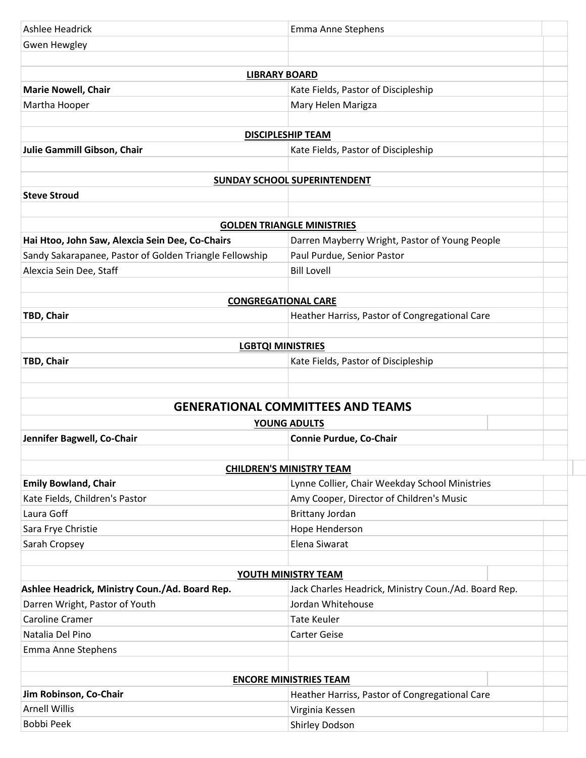| Ashlee Headrick                                         | Emma Anne Stephens                                                                 |
|---------------------------------------------------------|------------------------------------------------------------------------------------|
| Gwen Hewgley                                            |                                                                                    |
|                                                         |                                                                                    |
| <b>LIBRARY BOARD</b>                                    |                                                                                    |
| <b>Marie Nowell, Chair</b>                              | Kate Fields, Pastor of Discipleship                                                |
| Martha Hooper                                           | Mary Helen Marigza                                                                 |
|                                                         |                                                                                    |
|                                                         | <b>DISCIPLESHIP TEAM</b>                                                           |
| Julie Gammill Gibson, Chair                             | Kate Fields, Pastor of Discipleship                                                |
|                                                         |                                                                                    |
|                                                         | <b>SUNDAY SCHOOL SUPERINTENDENT</b>                                                |
| <b>Steve Stroud</b>                                     |                                                                                    |
|                                                         |                                                                                    |
|                                                         | <b>GOLDEN TRIANGLE MINISTRIES</b>                                                  |
| Hai Htoo, John Saw, Alexcia Sein Dee, Co-Chairs         | Darren Mayberry Wright, Pastor of Young People                                     |
| Sandy Sakarapanee, Pastor of Golden Triangle Fellowship | Paul Purdue, Senior Pastor                                                         |
| Alexcia Sein Dee, Staff                                 | <b>Bill Lovell</b>                                                                 |
|                                                         |                                                                                    |
| <b>CONGREGATIONAL CARE</b>                              |                                                                                    |
| TBD, Chair                                              | Heather Harriss, Pastor of Congregational Care                                     |
|                                                         |                                                                                    |
| <b>LGBTQI MINISTRIES</b>                                |                                                                                    |
| TBD, Chair                                              | Kate Fields, Pastor of Discipleship                                                |
|                                                         |                                                                                    |
|                                                         |                                                                                    |
|                                                         | <b>GENERATIONAL COMMITTEES AND TEAMS</b>                                           |
|                                                         | YOUNG ADULTS                                                                       |
| Jennifer Bagwell, Co-Chair                              | Connie Purdue, Co-Chair                                                            |
|                                                         |                                                                                    |
|                                                         | <b>CHILDREN'S MINISTRY TEAM</b>                                                    |
| <b>Emily Bowland, Chair</b>                             | Lynne Collier, Chair Weekday School Ministries                                     |
| Kate Fields, Children's Pastor                          | Amy Cooper, Director of Children's Music                                           |
| Laura Goff                                              | Brittany Jordan                                                                    |
| Sara Frye Christie                                      | Hope Henderson                                                                     |
|                                                         |                                                                                    |
|                                                         | Elena Siwarat                                                                      |
| Sarah Cropsey                                           |                                                                                    |
|                                                         |                                                                                    |
| Ashlee Headrick, Ministry Coun./Ad. Board Rep.          | <b>YOUTH MINISTRY TEAM</b><br>Jack Charles Headrick, Ministry Coun./Ad. Board Rep. |
| Darren Wright, Pastor of Youth                          | Jordan Whitehouse                                                                  |
| <b>Caroline Cramer</b>                                  | <b>Tate Keuler</b>                                                                 |
| Natalia Del Pino                                        | <b>Carter Geise</b>                                                                |
| Emma Anne Stephens                                      |                                                                                    |
|                                                         |                                                                                    |
|                                                         | <b>ENCORE MINISTRIES TEAM</b>                                                      |
| Jim Robinson, Co-Chair                                  |                                                                                    |
| <b>Arnell Willis</b>                                    | Heather Harriss, Pastor of Congregational Care<br>Virginia Kessen                  |